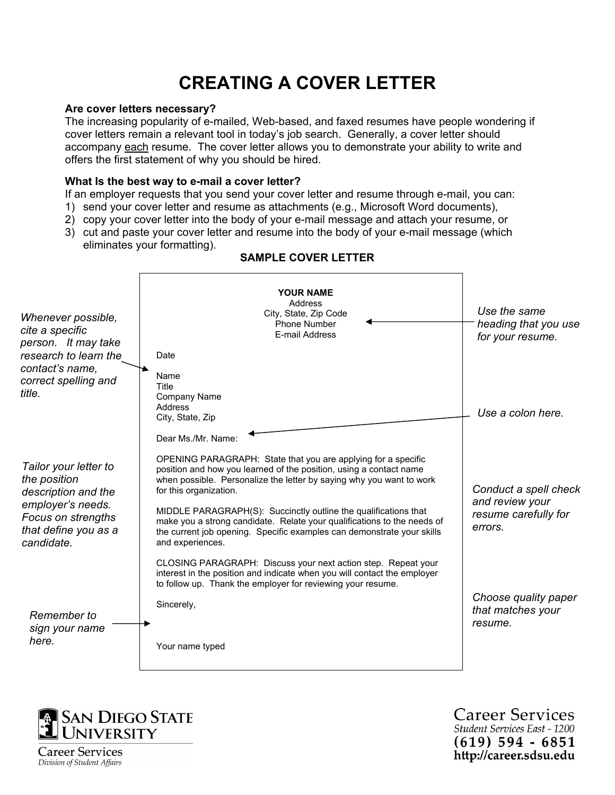# **CREATING A COVER LETTER**

#### **Are cover letters necessary?**

The increasing popularity of e-mailed, Web-based, and faxed resumes have people wondering if cover letters remain a relevant tool in today's job search. Generally, a cover letter should accompany each resume. The cover letter allows you to demonstrate your ability to write and offers the first statement of why you should be hired.

#### **What Is the best way to e-mail a cover letter?**

If an employer requests that you send your cover letter and resume through e-mail, you can:

- 1) send your cover letter and resume as attachments (e.g., Microsoft Word documents),
- 2) copy your cover letter into the body of your e-mail message and attach your resume, or
- 3) cut and paste your cover letter and resume into the body of your e-mail message (which eliminates your formatting).

| Whenever possible,<br>cite a specific<br>person. It may take<br>research to learn the<br>contact's name,                                      | <b>YOUR NAME</b><br>Address<br>City, State, Zip Code<br><b>Phone Number</b><br>E-mail Address<br>Date<br>Name                                                                                                                                                                                                                                                                                                                                                                     | Use the same<br>heading that you use<br>for your resume.                    |
|-----------------------------------------------------------------------------------------------------------------------------------------------|-----------------------------------------------------------------------------------------------------------------------------------------------------------------------------------------------------------------------------------------------------------------------------------------------------------------------------------------------------------------------------------------------------------------------------------------------------------------------------------|-----------------------------------------------------------------------------|
| correct spelling and<br>title.                                                                                                                | Title<br><b>Company Name</b><br>Address<br>City, State, Zip<br>Dear Ms./Mr. Name:                                                                                                                                                                                                                                                                                                                                                                                                 | Use a colon here.                                                           |
| Tailor your letter to<br>the position<br>description and the<br>employer's needs.<br>Focus on strengths<br>that define you as a<br>candidate. | OPENING PARAGRAPH: State that you are applying for a specific<br>position and how you learned of the position, using a contact name<br>when possible. Personalize the letter by saying why you want to work<br>for this organization.<br>MIDDLE PARAGRAPH(S): Succinctly outline the qualifications that<br>make you a strong candidate. Relate your qualifications to the needs of<br>the current job opening. Specific examples can demonstrate your skills<br>and experiences. | Conduct a spell check<br>and review your<br>resume carefully for<br>errors. |
| Remember to<br>sign your name<br>here.                                                                                                        | CLOSING PARAGRAPH: Discuss your next action step. Repeat your<br>interest in the position and indicate when you will contact the employer<br>to follow up. Thank the employer for reviewing your resume.<br>Sincerely,<br>Your name typed                                                                                                                                                                                                                                         | Choose quality paper<br>that matches your<br>resume.                        |

## **SAMPLE COVER LETTER**



**Career Services** Student Services East - 1200  $(619)$  594 - 6851 http://career.sdsu.edu

Career Services Division of Student Affairs